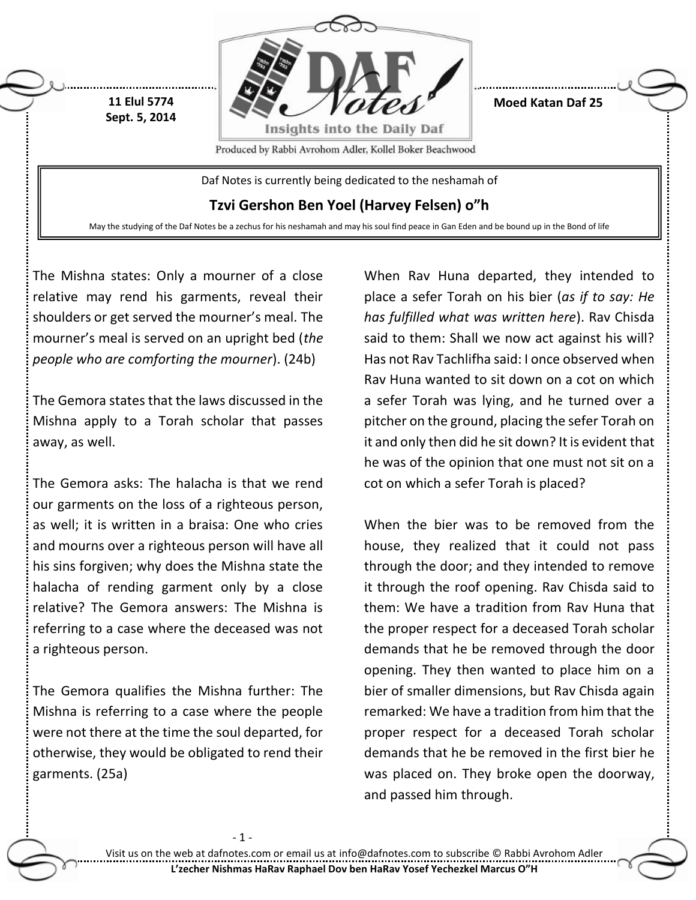

The Mishna states: Only a mourner of a close relative may rend his garments, reveal their shoulders or get served the mourner's meal. The mourner's meal is served on an upright bed (*the people who are comforting the mourner*). (24b)

The Gemora states that the laws discussed in the Mishna apply to a Torah scholar that passes away, as well.

The Gemora asks: The halacha is that we rend our garments on the loss of a righteous person, as well; it is written in a braisa: One who cries and mourns over a righteous person will have all his sins forgiven; why does the Mishna state the halacha of rending garment only by a close relative? The Gemora answers: The Mishna is referring to a case where the deceased was not a righteous person.

The Gemora qualifies the Mishna further: The Mishna is referring to a case where the people were not there at the time the soul departed, for otherwise, they would be obligated to rend their garments. (25a)

 $-1$ 

When Rav Huna departed, they intended to place a sefer Torah on his bier (*as if to say: He has fulfilled what was written here*). Rav Chisda said to them: Shall we now act against his will? Has not Rav Tachlifha said: I once observed when Rav Huna wanted to sit down on a cot on which a sefer Torah was lying, and he turned over a pitcher on the ground, placing the sefer Torah on it and only then did he sit down? It is evident that he was of the opinion that one must not sit on a cot on which a sefer Torah is placed?

When the bier was to be removed from the house, they realized that it could not pass through the door; and they intended to remove it through the roof opening. Rav Chisda said to them: We have a tradition from Rav Huna that the proper respect for a deceased Torah scholar demands that he be removed through the door opening. They then wanted to place him on a bier of smaller dimensions, but Rav Chisda again remarked: We have a tradition from him that the proper respect for a deceased Torah scholar demands that he be removed in the first bier he was placed on. They broke open the doorway, and passed him through.

Visit us on the web at dafnotes.com or email us at [info@dafnotes.com](mailto:info@dafnotes.com) to subscribe © Rabbi Avrohom Adler **L'zecher Nishmas HaRav Raphael Dov ben HaRav Yosef Yechezkel Marcus O"H**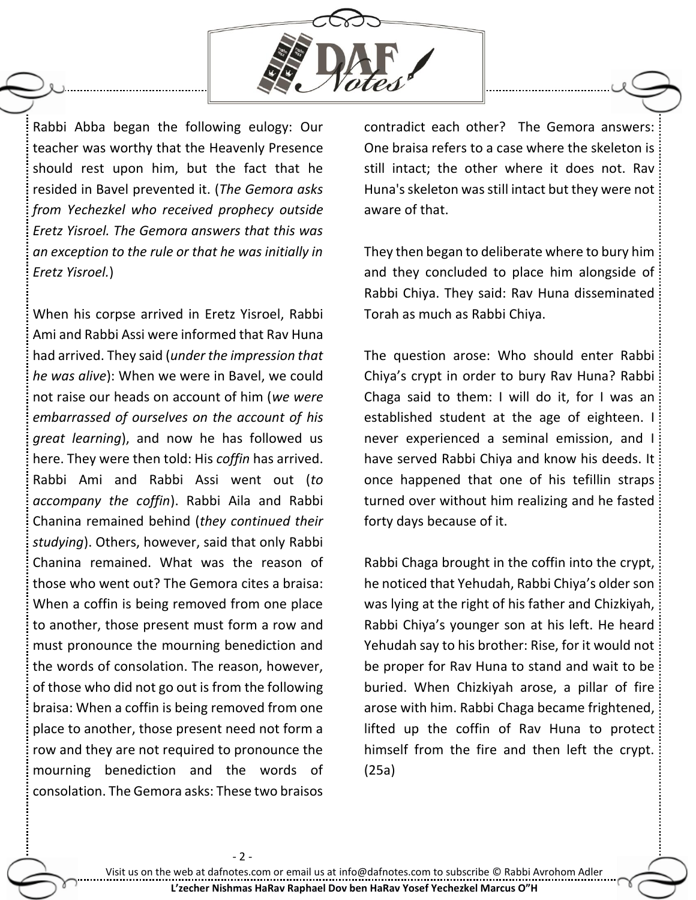

Rabbi Abba began the following eulogy: Our teacher was worthy that the Heavenly Presence should rest upon him, but the fact that he resided in Bavel prevented it. (*The Gemora asks from Yechezkel who received prophecy outside Eretz Yisroel. The Gemora answers that this was an exception to the rule or that he was initially in Eretz Yisroel.*)

When his corpse arrived in Eretz Yisroel, Rabbi Ami and Rabbi Assi were informed that Rav Huna had arrived. They said (*under the impression that he was alive*): When we were in Bavel, we could not raise our heads on account of him (*we were embarrassed of ourselves on the account of his great learning*), and now he has followed us here. They were then told: His *coffin* has arrived. Rabbi Ami and Rabbi Assi went out (*to accompany the coffin*). Rabbi Aila and Rabbi Chanina remained behind (*they continued their studying*). Others, however, said that only Rabbi Chanina remained. What was the reason of those who went out? The Gemora cites a braisa: When a coffin is being removed from one place to another, those present must form a row and must pronounce the mourning benediction and the words of consolation. The reason, however, of those who did not go out is from the following braisa: When a coffin is being removed from one place to another, those present need not form a row and they are not required to pronounce the mourning benediction and the words of consolation. The Gemora asks: These two braisos

contradict each other? The Gemora answers: One braisa refers to a case where the skeleton is still intact; the other where it does not. Rav Huna's skeleton was still intact but they were not aware of that.

They then began to deliberate where to bury him and they concluded to place him alongside of Rabbi Chiya. They said: Rav Huna disseminated Torah as much as Rabbi Chiya.

The question arose: Who should enter Rabbi Chiya's crypt in order to bury Rav Huna? Rabbi Chaga said to them: I will do it, for I was an established student at the age of eighteen. I never experienced a seminal emission, and I have served Rabbi Chiya and know his deeds. It once happened that one of his tefillin straps turned over without him realizing and he fasted forty days because of it.

Rabbi Chaga brought in the coffin into the crypt, he noticed that Yehudah, Rabbi Chiya's older son was lying at the right of his father and Chizkiyah, Rabbi Chiya's younger son at his left. He heard Yehudah say to his brother: Rise, for it would not be proper for Rav Huna to stand and wait to be buried. When Chizkiyah arose, a pillar of fire arose with him. Rabbi Chaga became frightened, lifted up the coffin of Rav Huna to protect himself from the fire and then left the crypt. (25a)

- 2 -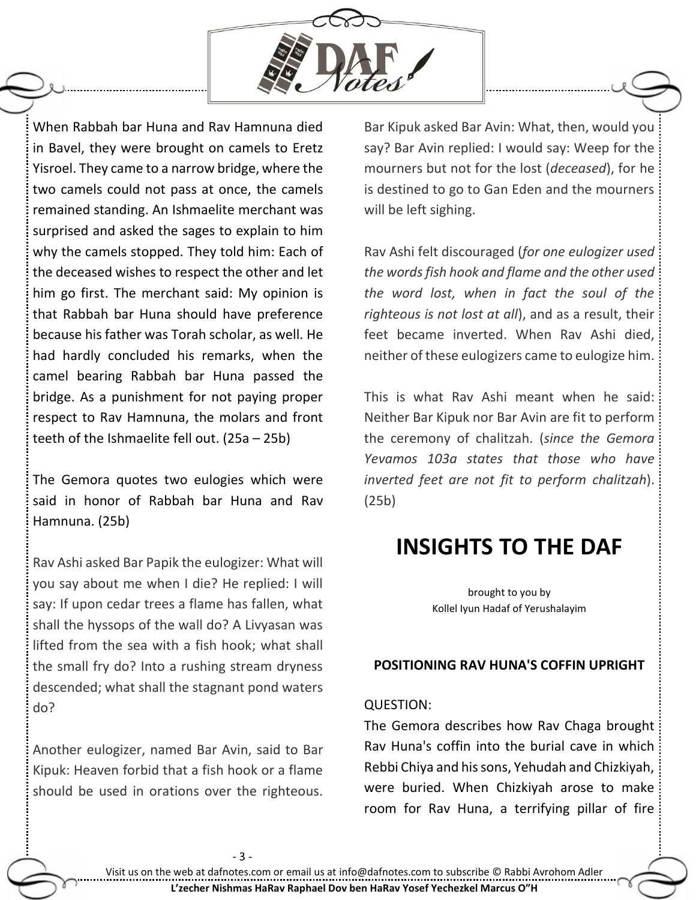

When Rabbah bar Huna and Rav Hamnuna died in Bavel, they were brought on camels to Eretz Yisroel. They came to a narrow bridge, where the two camels could not pass at once, the camels remained standing. An Ishmaelite merchant was surprised and asked the sages to explain to him why the camels stopped. They told him: Each of the deceased wishes to respect the other and let him go first. The merchant said: My opinion is that Rabbah bar Huna should have preference because his father was Torah scholar, as well. He had hardly concluded his remarks, when the camel bearing Rabbah bar Huna passed the bridge. As a punishment for not paying proper respect to Rav Hamnuna, the molars and front teeth of the Ishmaelite fell out. (25a – 25b)

The Gemora quotes two eulogies which were said in honor of Rabbah bar Huna and Rav Hamnuna. (25b)

Rav Ashi asked Bar Papik the eulogizer: What will you say about me when I die? He replied: I will say: If upon cedar trees a flame has fallen, what shall the hyssops of the wall do? A Livyasan was lifted from the sea with a fish hook; what shall the small fry do? Into a rushing stream dryness descended; what shall the stagnant pond waters do?

Another eulogizer, named Bar Avin, said to Bar Kipuk: Heaven forbid that a fish hook or a flame should be used in orations over the righteous.

- 3 -

Bar Kipuk asked Bar Avin: What, then, would you say? Bar Avin replied: I would say: Weep for the mourners but not for the lost (*deceased*), for he is destined to go to Gan Eden and the mourners will be left sighing.

Rav Ashi felt discouraged (*for one eulogizer used the words fish hook and flame and the other used the word lost, when in fact the soul of the righteous is not lost at all*), and as a result, their feet became inverted. When Rav Ashi died, neither of these eulogizers came to eulogize him.

This is what Rav Ashi meant when he said: Neither Bar Kipuk nor Bar Avin are fit to perform the ceremony of chalitzah. (*since the Gemora Yevamos 103a states that those who have inverted feet are not fit to perform chalitzah*). (25b)

# **INSIGHTS TO THE DAF**

brought to you by Kollel Iyun Hadaf of Yerushalayim

## **POSITIONING RAV HUNA'S COFFIN UPRIGHT**

### QUESTION:

The Gemora describes how Rav Chaga brought Rav Huna's coffin into the burial cave in which Rebbi Chiya and his sons, Yehudah and Chizkiyah, were buried. When Chizkiyah arose to make room for Rav Huna, a terrifying pillar of fire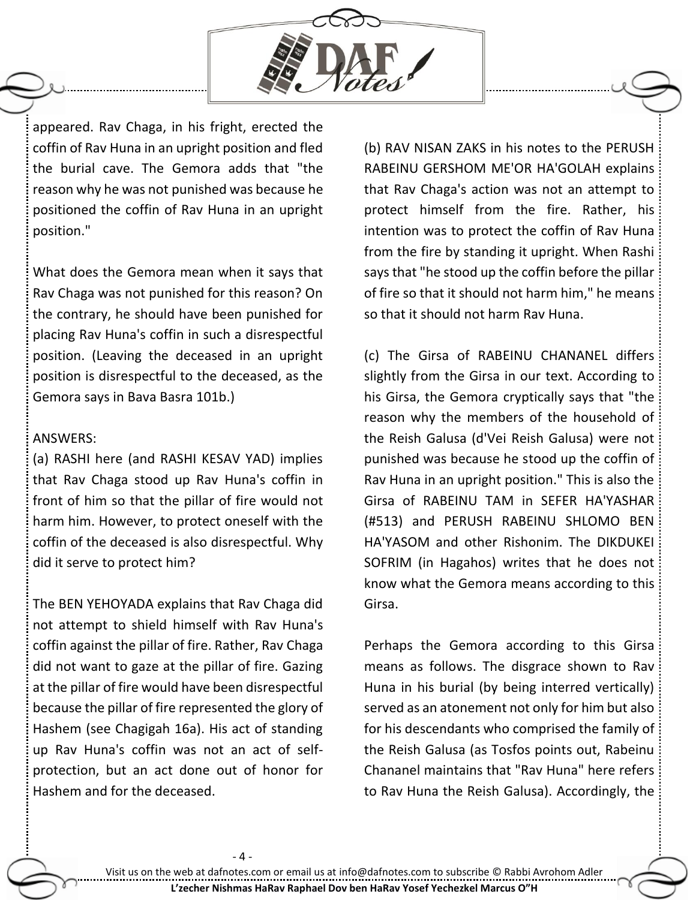

appeared. Rav Chaga, in his fright, erected the coffin of Rav Huna in an upright position and fled the burial cave. The Gemora adds that "the reason why he was not punished was because he positioned the coffin of Rav Huna in an upright position."

What does the Gemora mean when it says that Rav Chaga was not punished for this reason? On the contrary, he should have been punished for placing Rav Huna's coffin in such a disrespectful position. (Leaving the deceased in an upright position is disrespectful to the deceased, as the Gemora says in Bava Basra 101b.)

### ANSWERS:

(a) RASHI here (and RASHI KESAV YAD) implies that Rav Chaga stood up Rav Huna's coffin in front of him so that the pillar of fire would not harm him. However, to protect oneself with the coffin of the deceased is also disrespectful. Why did it serve to protect him?

The BEN YEHOYADA explains that Rav Chaga did not attempt to shield himself with Rav Huna's coffin against the pillar of fire. Rather, Rav Chaga did not want to gaze at the pillar of fire. Gazing at the pillar of fire would have been disrespectful because the pillar of fire represented the glory of Hashem (see Chagigah 16a). His act of standing up Rav Huna's coffin was not an act of selfprotection, but an act done out of honor for Hashem and for the deceased.

 $-4-$ 

(b) RAV NISAN ZAKS in his notes to the PERUSH RABEINU GERSHOM ME'OR HA'GOLAH explains that Rav Chaga's action was not an attempt to protect himself from the fire. Rather, his intention was to protect the coffin of Rav Huna from the fire by standing it upright. When Rashi says that "he stood up the coffin before the pillar of fire so that it should not harm him," he means so that it should not harm Rav Huna.

(c) The Girsa of RABEINU CHANANEL differs slightly from the Girsa in our text. According to his Girsa, the Gemora cryptically says that "the reason why the members of the household of the Reish Galusa (d'Vei Reish Galusa) were not punished was because he stood up the coffin of Rav Huna in an upright position." This is also the Girsa of RABEINU TAM in SEFER HA'YASHAR (#513) and PERUSH RABEINU SHLOMO BEN HA'YASOM and other Rishonim. The DIKDUKEI SOFRIM (in Hagahos) writes that he does not know what the Gemora means according to this Girsa.

Perhaps the Gemora according to this Girsa means as follows. The disgrace shown to Rav Huna in his burial (by being interred vertically) served as an atonement not only for him but also for his descendants who comprised the family of the Reish Galusa (as Tosfos points out, Rabeinu Chananel maintains that "Rav Huna" here refers to Rav Huna the Reish Galusa). Accordingly, the

Visit us on the web at dafnotes.com or email us at [info@dafnotes.com](mailto:info@dafnotes.com) to subscribe © Rabbi Avrohom Adler **L'zecher Nishmas HaRav Raphael Dov ben HaRav Yosef Yechezkel Marcus O"H**